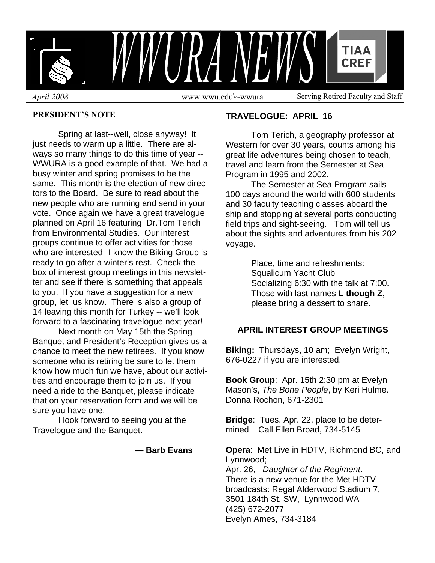

## **PRESIDENT'S NOTE**

Spring at last--well, close anyway! It just needs to warm up a little. There are always so many things to do this time of year -- WWURA is a good example of that. We had a busy winter and spring promises to be the same. This month is the election of new directors to the Board. Be sure to read about the new people who are running and send in your vote. Once again we have a great travelogue planned on April 16 featuring Dr.Tom Terich from Environmental Studies. Our interest groups continue to offer activities for those who are interested--I know the Biking Group is ready to go after a winter's rest. Check the box of interest group meetings in this newsletter and see if there is something that appeals to you. If you have a suggestion for a new group, let us know. There is also a group of 14 leaving this month for Turkey -- we'll look forward to a fascinating travelogue next year!

 Next month on May 15th the Spring Banquet and President's Reception gives us a chance to meet the new retirees. If you know someone who is retiring be sure to let them know how much fun we have, about our activities and encourage them to join us. If you need a ride to the Banquet, please indicate that on your reservation form and we will be sure you have one.

 I look forward to seeing you at the Travelogue and the Banquet.

 **— Barb Evans** 

# **TRAVELOGUE: APRIL 16**

 Tom Terich, a geography professor at Western for over 30 years, counts among his great life adventures being chosen to teach, travel and learn from the Semester at Sea Program in 1995 and 2002.

 The Semester at Sea Program sails 100 days around the world with 600 students and 30 faculty teaching classes aboard the ship and stopping at several ports conducting field trips and sight-seeing. Tom will tell us about the sights and adventures from his 202 voyage.

> Place, time and refreshments: Squalicum Yacht Club Socializing 6:30 with the talk at 7:00. Those with last names **L though Z,**  please bring a dessert to share.

## **APRIL INTEREST GROUP MEETINGS**

**Biking:** Thursdays, 10 am; Evelyn Wright, 676-0227 if you are interested.

**Book Group**: Apr. 15th 2:30 pm at Evelyn Mason's, *The Bone People*, by Keri Hulme. Donna Rochon, 671-2301

**Bridge**: Tues. Apr. 22, place to be determined Call Ellen Broad, 734-5145

**Opera**: Met Live in HDTV, Richmond BC, and Lynnwood;

Apr. 26, *Daughter of the Regiment*. There is a new venue for the Met HDTV broadcasts: Regal Alderwood Stadium 7, 3501 184th St. SW, Lynnwood WA (425) 672-2077 Evelyn Ames, 734-3184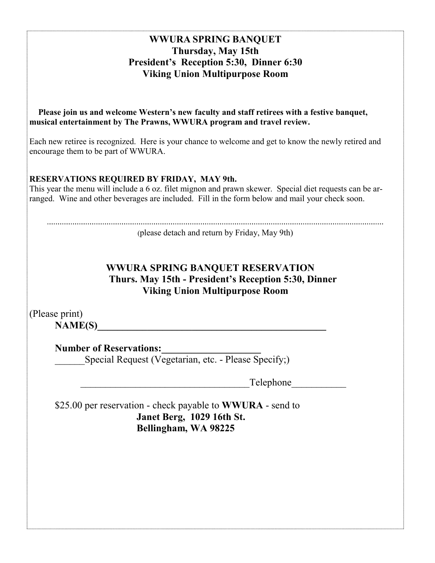# **WWURA SPRING BANQUET Thursday, May 15th President's Reception 5:30, Dinner 6:30 Viking Union Multipurpose Room**

 **Please join us and welcome Western's new faculty and staff retirees with a festive banquet, musical entertainment by The Prawns, WWURA program and travel review.**

Each new retiree is recognized. Here is your chance to welcome and get to know the newly retired and encourage them to be part of WWURA.

## **RESERVATIONS REQUIRED BY FRIDAY, MAY 9th.**

This year the menu will include a 6 oz. filet mignon and prawn skewer. Special diet requests can be arranged. Wine and other beverages are included. Fill in the form below and mail your check soon.

(please detach and return by Friday, May 9th)

# **WWURA SPRING BANQUET RESERVATION Thurs. May 15th - President's Reception 5:30, Dinner Viking Union Multipurpose Room**

(Please print) **NAME(S)** 

**Number of Reservations:** 

Special Request (Vegetarian, etc. - Please Specify;)

Telephone

 \$25.00 per reservation - check payable to **WWURA** - send to **Janet Berg, 1029 16th St. Bellingham, WA 98225**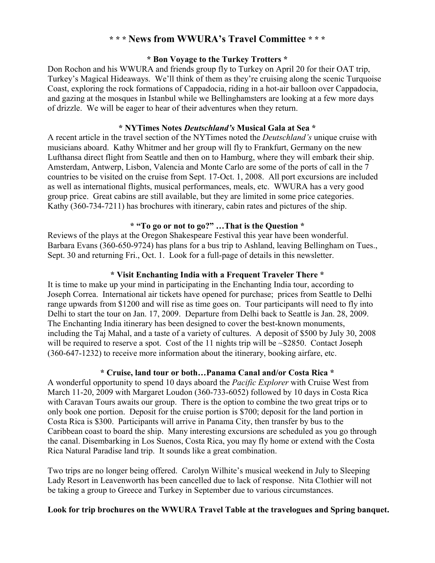# **\* \* \* News from WWURA's Travel Committee \* \* \***

#### **\* Bon Voyage to the Turkey Trotters \***

 Don Rochon and his WWURA and friends group fly to Turkey on April 20 for their OAT trip, Turkey's Magical Hideaways. We'll think of them as they're cruising along the scenic Turquoise Coast, exploring the rock formations of Cappadocia, riding in a hot-air balloon over Cappadocia, and gazing at the mosques in Istanbul while we Bellinghamsters are looking at a few more days of drizzle. We will be eager to hear of their adventures when they return.

#### **\* NYTimes Notes** *Deutschland's* **Musical Gala at Sea \***

A recent article in the travel section of the NYTimes noted the *Deutschland's* unique cruise with musicians aboard. Kathy Whitmer and her group will fly to Frankfurt, Germany on the new Lufthansa direct flight from Seattle and then on to Hamburg, where they will embark their ship. Amsterdam, Antwerp, Lisbon, Valencia and Monte Carlo are some of the ports of call in the 7 countries to be visited on the cruise from Sept. 17-Oct. 1, 2008. All port excursions are included as well as international flights, musical performances, meals, etc. WWURA has a very good group price. Great cabins are still available, but they are limited in some price categories. Kathy (360-734-7211) has brochures with itinerary, cabin rates and pictures of the ship.

#### **\* "To go or not to go?" …That is the Question \***

 Reviews of the plays at the Oregon Shakespeare Festival this year have been wonderful. Barbara Evans (360-650-9724) has plans for a bus trip to Ashland, leaving Bellingham on Tues., Sept. 30 and returning Fri., Oct. 1. Look for a full-page of details in this newsletter.

#### **\* Visit Enchanting India with a Frequent Traveler There \***

 It is time to make up your mind in participating in the Enchanting India tour, according to Joseph Correa. International air tickets have opened for purchase; prices from Seattle to Delhi range upwards from \$1200 and will rise as time goes on. Tour participants will need to fly into Delhi to start the tour on Jan. 17, 2009. Departure from Delhi back to Seattle is Jan. 28, 2009. The Enchanting India itinerary has been designed to cover the best-known monuments, including the Taj Mahal, and a taste of a variety of cultures. A deposit of \$500 by July 30, 2008 will be required to reserve a spot. Cost of the 11 nights trip will be  $\sim$ \$2850. Contact Joseph (360-647-1232) to receive more information about the itinerary, booking airfare, etc.

## **\* Cruise, land tour or both…Panama Canal and/or Costa Rica \***

 A wonderful opportunity to spend 10 days aboard the *Pacific Explorer* with Cruise West from March 11-20, 2009 with Margaret Loudon (360-733-6052) followed by 10 days in Costa Rica with Caravan Tours awaits our group. There is the option to combine the two great trips or to only book one portion. Deposit for the cruise portion is \$700; deposit for the land portion in Costa Rica is \$300. Participants will arrive in Panama City, then transfer by bus to the Caribbean coast to board the ship. Many interesting excursions are scheduled as you go through the canal. Disembarking in Los Suenos, Costa Rica, you may fly home or extend with the Costa Rica Natural Paradise land trip. It sounds like a great combination.

 Two trips are no longer being offered. Carolyn Wilhite's musical weekend in July to Sleeping Lady Resort in Leavenworth has been cancelled due to lack of response. Nita Clothier will not be taking a group to Greece and Turkey in September due to various circumstances.

## **Look for trip brochures on the WWURA Travel Table at the travelogues and Spring banquet.**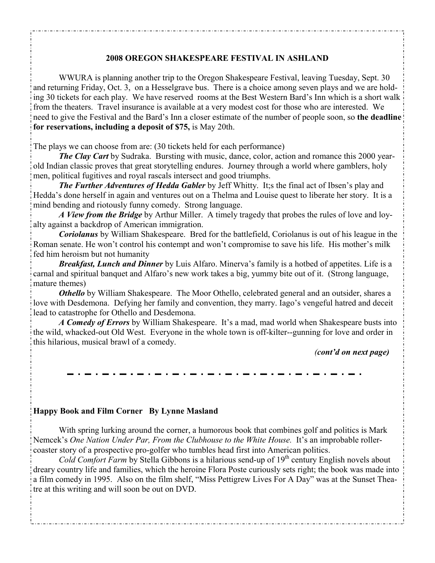## **2008 OREGON SHAKESPEARE FESTIVAL IN ASHLAND**

 WWURA is planning another trip to the Oregon Shakespeare Festival, leaving Tuesday, Sept. 30 and returning Friday, Oct. 3, on a Hesselgrave bus. There is a choice among seven plays and we are holding 30 tickets for each play. We have reserved rooms at the Best Western Bard's Inn which is a short walk from the theaters. Travel insurance is available at a very modest cost for those who are interested. We need to give the Festival and the Bard's Inn a closer estimate of the number of people soon, so **the deadline for reservations, including a deposit of \$75,** is May 20th.

The plays we can choose from are: (30 tickets held for each performance)

*The Clay Cart* by Sudraka. Bursting with music, dance, color, action and romance this 2000 yearold Indian classic proves that great storytelling endures. Journey through a world where gamblers, holy men, political fugitives and royal rascals intersect and good triumphs.

*The Further Adventures of Hedda Gabler* by Jeff Whitty. It;s the final act of Ibsen's play and Hedda's done herself in again and ventures out on a Thelma and Louise quest to liberate her story. It is a mind bending and riotously funny comedy. Strong language.

*A View from the Bridge* by Arthur Miller. A timely tragedy that probes the rules of love and loyalty against a backdrop of American immigration.

*Coriolanus* by William Shakespeare. Bred for the battlefield, Coriolanus is out of his league in the Roman senate. He won't control his contempt and won't compromise to save his life. His mother's milk fed him heroism but not humanity

*Breakfast, Lunch and Dinner* by Luis Alfaro. Minerva's family is a hotbed of appetites. Life is a carnal and spiritual banquet and Alfaro's new work takes a big, yummy bite out of it. (Strong language, mature themes)

*Othello* by William Shakespeare. The Moor Othello, celebrated general and an outsider, shares a love with Desdemona. Defying her family and convention, they marry. Iago's vengeful hatred and deceit lead to catastrophe for Othello and Desdemona.

*A Comedy of Errors* by William Shakespeare. It's a mad, mad world when Shakespeare busts into the wild, whacked-out Old West. Everyone in the whole town is off-kilter--gunning for love and order in this hilarious, musical brawl of a comedy.

*(cont'd on next page)*

#### **Happy Book and Film Corner By Lynne Masland**

 With spring lurking around the corner, a humorous book that combines golf and politics is Mark Nemcek's *One Nation Under Par, From the Clubhouse to the White House.* It's an improbable rollercoaster story of a prospective pro-golfer who tumbles head first into American politics.

*Cold Comfort Farm* by Stella Gibbons is a hilarious send-up of 19<sup>th</sup> century English novels about dreary country life and families, which the heroine Flora Poste curiously sets right; the book was made into a film comedy in 1995. Also on the film shelf, "Miss Pettigrew Lives For A Day" was at the Sunset Theatre at this writing and will soon be out on DVD.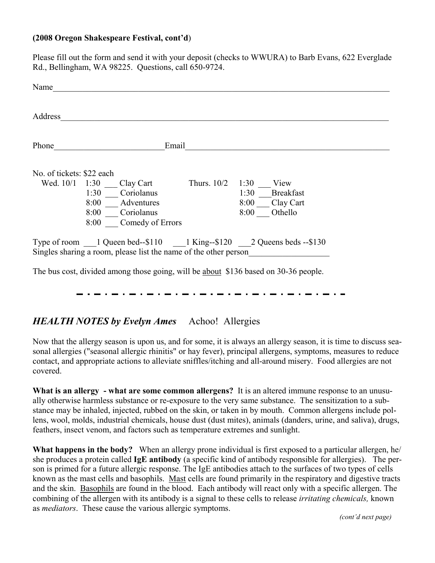## **(2008 Oregon Shakespeare Festival, cont'd**)

Please fill out the form and send it with your deposit (checks to WWURA) to Barb Evans, 622 Everglade Rd., Bellingham, WA 98225. Questions, call 650-9724.

| Name                      |                                                                                                                 |               |                                                                                  |  |
|---------------------------|-----------------------------------------------------------------------------------------------------------------|---------------|----------------------------------------------------------------------------------|--|
| Address                   |                                                                                                                 |               |                                                                                  |  |
| Phone                     | Email                                                                                                           |               |                                                                                  |  |
| No. of tickets: \$22 each |                                                                                                                 |               |                                                                                  |  |
| Wed. 10/1                 | 1:30<br>Clay Cart<br>Coriolanus<br>1:30<br>8:00<br>Adventures<br>Coriolanus<br>8:00<br>Comedy of Errors<br>8:00 | Thurs. $10/2$ | 1:30<br>View<br>1:30<br><b>Breakfast</b><br>Clay Cart<br>8:00<br>Othello<br>8:00 |  |
|                           | Singles sharing a room, please list the name of the other person                                                |               | Type of room 1 Queen bed--\$110 1 King--\$120 2 Queens beds --\$130              |  |

The bus cost, divided among those going, will be about \$136 based on 30-36 people.

# *HEALTH NOTES by Evelyn Ames* Achoo! Allergies

Now that the allergy season is upon us, and for some, it is always an allergy season, it is time to discuss seasonal allergies ("seasonal allergic rhinitis" or hay fever), principal allergens, symptoms, measures to reduce contact, and appropriate actions to alleviate sniffles/itching and all-around misery. Food allergies are not covered.

**What is an allergy - what are some common allergens?** It is an altered immune response to an unusually otherwise harmless substance or re-exposure to the very same substance. The sensitization to a substance may be inhaled, injected, rubbed on the skin, or taken in by mouth. Common allergens include pollens, wool, molds, industrial chemicals, house dust (dust mites), animals (danders, urine, and saliva), drugs, feathers, insect venom, and factors such as temperature extremes and sunlight.

**What happens in the body?** When an allergy prone individual is first exposed to a particular allergen, he/ she produces a protein called **IgE antibody** (a specific kind of antibody responsible for allergies). The person is primed for a future allergic response. The IgE antibodies attach to the surfaces of two types of cells known as the mast cells and basophils. Mast cells are found primarily in the respiratory and digestive tracts and the skin. Basophils are found in the blood. Each antibody will react only with a specific allergen. The combining of the allergen with its antibody is a signal to these cells to release *irritating chemicals,* known as *mediators*. These cause the various allergic symptoms.

*(cont'd next page)*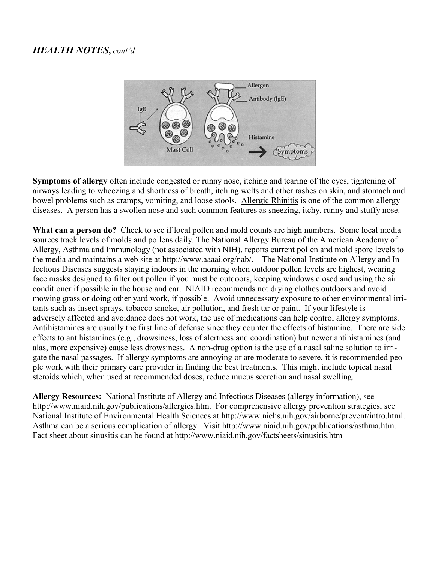# *HEALTH NOTES***,** *cont'd*



**Symptoms of allergy** often include congested or runny nose, itching and tearing of the eyes, tightening of airways leading to wheezing and shortness of breath, itching welts and other rashes on skin, and stomach and bowel problems such as cramps, vomiting, and loose stools. Allergic Rhinitis is one of the common allergy diseases. A person has a swollen nose and such common features as sneezing, itchy, runny and stuffy nose.

**What can a person do?** Check to see if local pollen and mold counts are high numbers. Some local media sources track levels of molds and pollens daily. The National Allergy Bureau of the American Academy of Allergy, Asthma and Immunology (not associated with NIH), reports current pollen and mold spore levels to the media and maintains a web site at http://www.aaaai.org/nab/. The National Institute on Allergy and Infectious Diseases suggests staying indoors in the morning when outdoor pollen levels are highest, wearing face masks designed to filter out pollen if you must be outdoors, keeping windows closed and using the air conditioner if possible in the house and car. NIAID recommends not drying clothes outdoors and avoid mowing grass or doing other yard work, if possible. Avoid unnecessary exposure to other environmental irritants such as insect sprays, tobacco smoke, air pollution, and fresh tar or paint. If your lifestyle is adversely affected and avoidance does not work, the use of medications can help control allergy symptoms. Antihistamines are usually the first line of defense since they counter the effects of histamine. There are side effects to antihistamines (e.g., drowsiness, loss of alertness and coordination) but newer antihistamines (and alas, more expensive) cause less drowsiness. A non-drug option is the use of a nasal saline solution to irrigate the nasal passages. If allergy symptoms are annoying or are moderate to severe, it is recommended people work with their primary care provider in finding the best treatments. This might include topical nasal steroids which, when used at recommended doses, reduce mucus secretion and nasal swelling.

**Allergy Resources:** National Institute of Allergy and Infectious Diseases (allergy information), see http://www.niaid.nih.gov/publications/allergies.htm. For comprehensive allergy prevention strategies, see National Institute of Environmental Health Sciences at http://www.niehs.nih.gov/airborne/prevent/intro.html. Asthma can be a serious complication of allergy. Visit http://www.niaid.nih.gov/publications/asthma.htm. Fact sheet about sinusitis can be found at http://www.niaid.nih.gov/factsheets/sinusitis.htm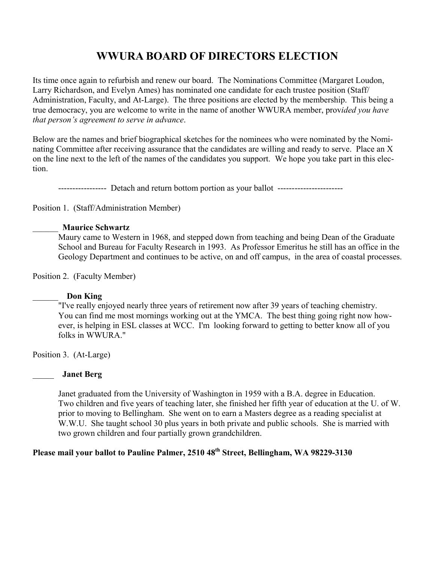# **WWURA BOARD OF DIRECTORS ELECTION**

Its time once again to refurbish and renew our board. The Nominations Committee (Margaret Loudon, Larry Richardson, and Evelyn Ames) has nominated one candidate for each trustee position (Staff/ Administration, Faculty, and At-Large). The three positions are elected by the membership. This being a true democracy, you are welcome to write in the name of another WWURA member, prov*ided you have that person's agreement to serve in advance*.

Below are the names and brief biographical sketches for the nominees who were nominated by the Nominating Committee after receiving assurance that the candidates are willing and ready to serve. Place an X on the line next to the left of the names of the candidates you support. We hope you take part in this election.

----------------- Detach and return bottom portion as your ballot -----------------------

Position 1. (Staff/Administration Member)

#### \_\_\_\_\_\_ **Maurice Schwartz**

 Maury came to Western in 1968, and stepped down from teaching and being Dean of the Graduate School and Bureau for Faculty Research in 1993. As Professor Emeritus he still has an office in the Geology Department and continues to be active, on and off campus, in the area of coastal processes.

Position 2. (Faculty Member)

#### \_\_\_\_\_\_ **Don King**

"I've really enjoyed nearly three years of retirement now after 39 years of teaching chemistry. You can find me most mornings working out at the YMCA. The best thing going right now however, is helping in ESL classes at WCC. I'm looking forward to getting to better know all of you folks in WWURA."

Position 3. (At-Large)

#### \_\_\_\_\_ **Janet Berg**

Janet graduated from the University of Washington in 1959 with a B.A. degree in Education. Two children and five years of teaching later, she finished her fifth year of education at the U. of W. prior to moving to Bellingham. She went on to earn a Masters degree as a reading specialist at W.W.U. She taught school 30 plus years in both private and public schools. She is married with two grown children and four partially grown grandchildren.

# Please mail your ballot to Pauline Palmer, 2510 48<sup>th</sup> Street, Bellingham, WA 98229-3130